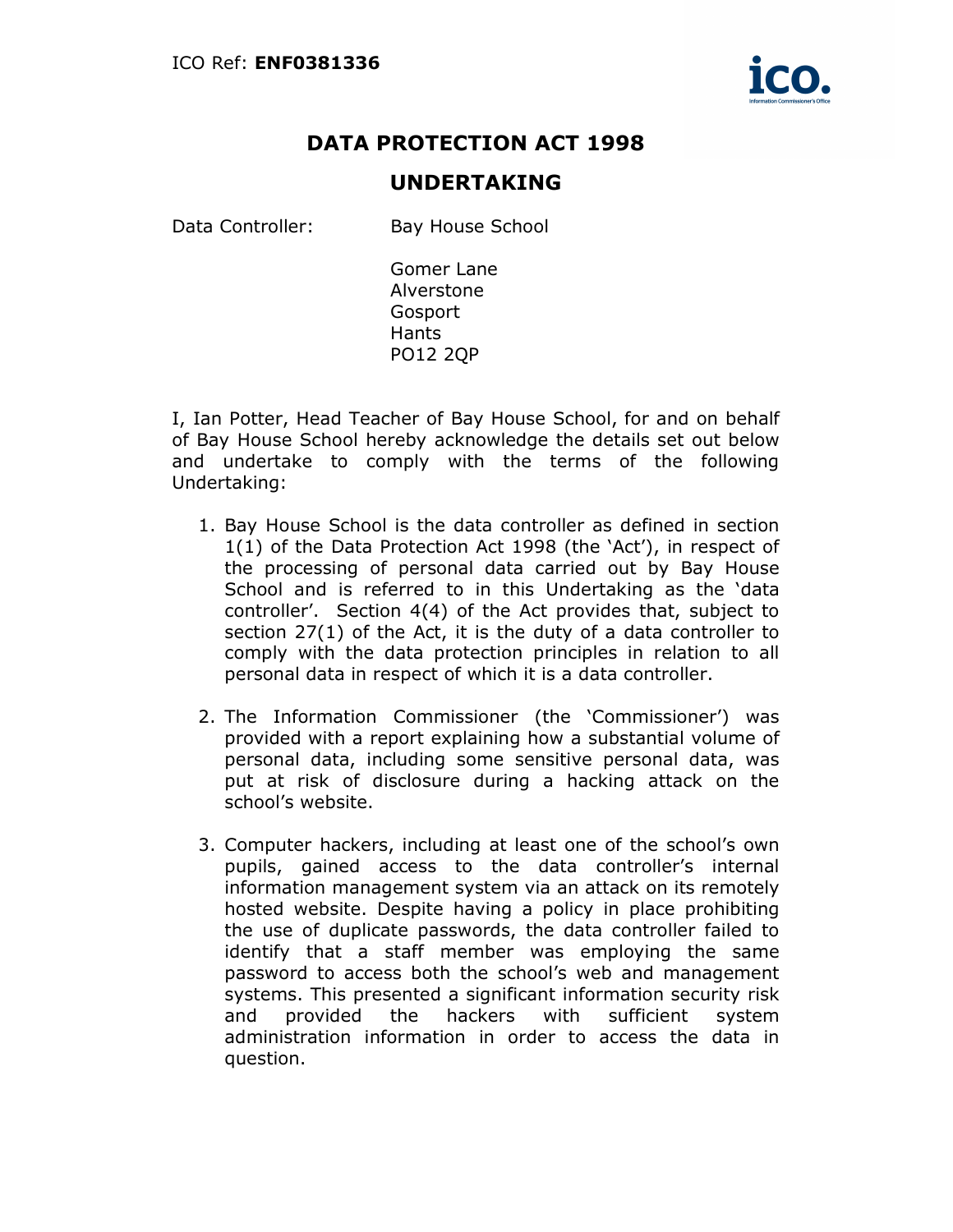

## DATA PROTECTION ACT 1998

## UNDERTAKING

Data Controller: Bay House School

Gomer Lane Alverstone Gosport Hants PO12 2QP

I, Ian Potter, Head Teacher of Bay House School, for and on behalf of Bay House School hereby acknowledge the details set out below and undertake to comply with the terms of the following Undertaking:

- 1. Bay House School is the data controller as defined in section 1(1) of the Data Protection Act 1998 (the 'Act'), in respect of the processing of personal data carried out by Bay House School and is referred to in this Undertaking as the 'data controller'. Section 4(4) of the Act provides that, subject to section 27(1) of the Act, it is the duty of a data controller to comply with the data protection principles in relation to all personal data in respect of which it is a data controller.
- 2. The Information Commissioner (the 'Commissioner') was provided with a report explaining how a substantial volume of personal data, including some sensitive personal data, was put at risk of disclosure during a hacking attack on the school's website.
- 3. Computer hackers, including at least one of the school's own pupils, gained access to the data controller's internal information management system via an attack on its remotely hosted website. Despite having a policy in place prohibiting the use of duplicate passwords, the data controller failed to identify that a staff member was employing the same password to access both the school's web and management systems. This presented a significant information security risk and provided the hackers with sufficient system administration information in order to access the data in question.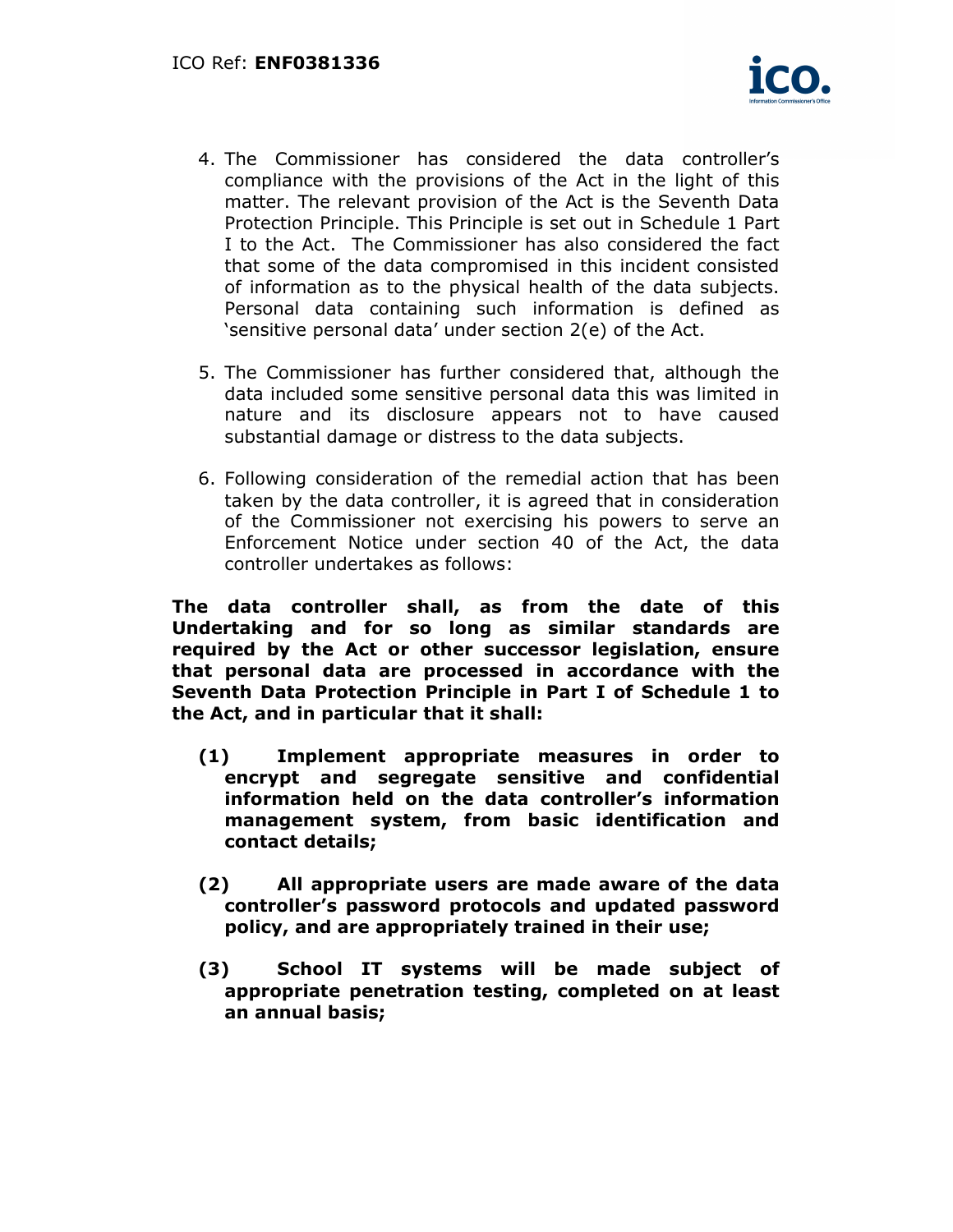

- 4. The Commissioner has considered the data controller's compliance with the provisions of the Act in the light of this matter. The relevant provision of the Act is the Seventh Data Protection Principle. This Principle is set out in Schedule 1 Part I to the Act. The Commissioner has also considered the fact that some of the data compromised in this incident consisted of information as to the physical health of the data subjects. Personal data containing such information is defined as 'sensitive personal data' under section 2(e) of the Act.
- 5. The Commissioner has further considered that, although the data included some sensitive personal data this was limited in nature and its disclosure appears not to have caused substantial damage or distress to the data subjects.
- 6. Following consideration of the remedial action that has been taken by the data controller, it is agreed that in consideration of the Commissioner not exercising his powers to serve an Enforcement Notice under section 40 of the Act, the data controller undertakes as follows:

The data controller shall, as from the date of this Undertaking and for so long as similar standards are required by the Act or other successor legislation, ensure that personal data are processed in accordance with the Seventh Data Protection Principle in Part I of Schedule 1 to the Act, and in particular that it shall:

- (1) Implement appropriate measures in order to encrypt and segregate sensitive and confidential information held on the data controller's information management system, from basic identification and contact details;
- (2) All appropriate users are made aware of the data controller's password protocols and updated password policy, and are appropriately trained in their use;
- (3) School IT systems will be made subject of appropriate penetration testing, completed on at least an annual basis;